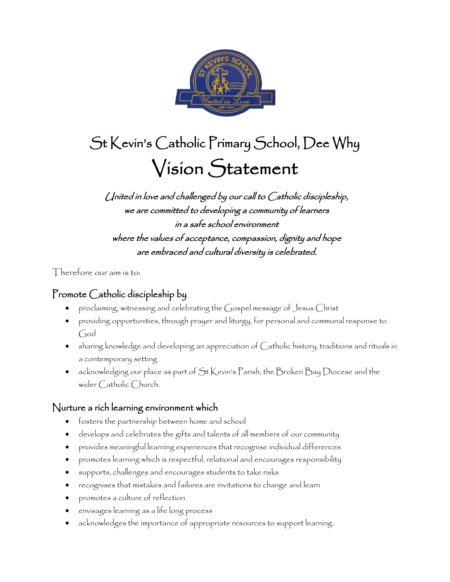

# St Kevin's Catholic Primary School, Dee Why Vision Statement

## United in love and challenged by our call to Catholic discipleship, we are committed to developing a community of learners in a safe school environment where the values of acceptance, compassion, dignity and hope are embraced and cultural diversity is celebrated.

Therefore our aim is to:

## Promote Catholic discipleship by

- proclaiming, witnessing and celebrating the Gospel message of Jesus Christ
- providing opportunities, through prayer and liturgy, for personal and communal response to God
- sharing knowledge and developing an appreciation of Catholic history, traditions and rituals in a contemporary setting
- acknowledging our place as part of St Kevin's Parish, the Broken Bay Diocese and the wider Catholic Church.

#### Nurture a rich learning environment which

- fosters the partnership between home and school
- develops and celebrates the gifts and talents of all members of our community
- provides meaningful learning experiences that recognise individual differences
- promotes learning which is respectful, relational and encourages responsibility
- supports, challenges and encourages students to take risks
- recognises that mistakes and failures are invitations to change and learn
- promotes a culture of reflection
- envisages learning as a life long process
- acknowledges the importance of appropriate resources to support learning.